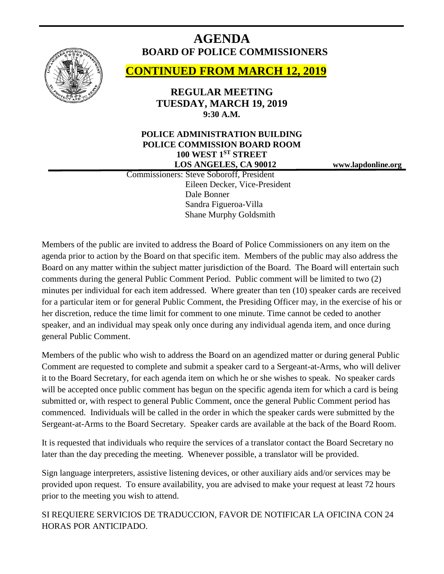

# **AGENDA BOARD OF POLICE COMMISSIONERS**

# **CONTINUED FROM MARCH 12, 2019**

**REGULAR MEETING TUESDAY, MARCH 19, 2019 9:30 A.M.**

## **POLICE ADMINISTRATION BUILDING POLICE COMMISSION BOARD ROOM 100 WEST 1ST STREET LOS ANGELES, CA 90012 www.lapdonline.org**

 Commissioners: Steve Soboroff, President Eileen Decker, Vice-President Dale Bonner Sandra Figueroa-Villa Shane Murphy Goldsmith

Members of the public are invited to address the Board of Police Commissioners on any item on the agenda prior to action by the Board on that specific item. Members of the public may also address the Board on any matter within the subject matter jurisdiction of the Board. The Board will entertain such comments during the general Public Comment Period. Public comment will be limited to two (2) minutes per individual for each item addressed. Where greater than ten (10) speaker cards are received for a particular item or for general Public Comment, the Presiding Officer may, in the exercise of his or her discretion, reduce the time limit for comment to one minute. Time cannot be ceded to another speaker, and an individual may speak only once during any individual agenda item, and once during general Public Comment.

Members of the public who wish to address the Board on an agendized matter or during general Public Comment are requested to complete and submit a speaker card to a Sergeant-at-Arms, who will deliver it to the Board Secretary, for each agenda item on which he or she wishes to speak. No speaker cards will be accepted once public comment has begun on the specific agenda item for which a card is being submitted or, with respect to general Public Comment, once the general Public Comment period has commenced. Individuals will be called in the order in which the speaker cards were submitted by the Sergeant-at-Arms to the Board Secretary. Speaker cards are available at the back of the Board Room.

It is requested that individuals who require the services of a translator contact the Board Secretary no later than the day preceding the meeting. Whenever possible, a translator will be provided.

Sign language interpreters, assistive listening devices, or other auxiliary aids and/or services may be provided upon request. To ensure availability, you are advised to make your request at least 72 hours prior to the meeting you wish to attend.

SI REQUIERE SERVICIOS DE TRADUCCION, FAVOR DE NOTIFICAR LA OFICINA CON 24 HORAS POR ANTICIPADO.